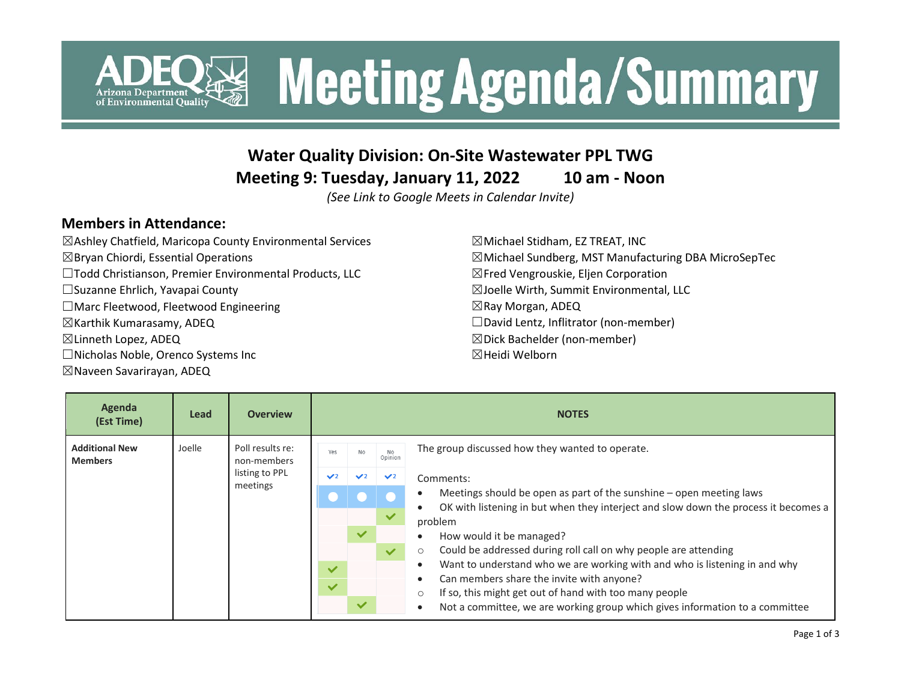

### **Water Quality Division: On-Site Wastewater PPL TWG**

**Meeting 9: Tuesday, January 11, 2022 10 am - Noon**

*(See Link to Google Meets in Calendar Invite)*

#### **Members in Attendance:**

☒Ashley Chatfield, Maricopa County Environmental Services  $\boxtimes$ Bryan Chiordi, Essential Operations ☐Todd Christianson, Premier Environmental Products, LLC ☐Suzanne Ehrlich, Yavapai County ☐Marc Fleetwood, Fleetwood Engineering ☒Karthik Kumarasamy, ADEQ ☒Linneth Lopez, ADEQ ☐Nicholas Noble, Orenco Systems Inc

#### ☒Naveen Savarirayan, ADEQ

 $\boxtimes$ Michael Stidham, EZ TREAT, INC  $\boxtimes$ Michael Sundberg, MST Manufacturing DBA MicroSepTec ☒Fred Vengrouskie, Eljen Corporation ☒Joelle Wirth, Summit Environmental, LLC ☒Ray Morgan, ADEQ ☐David Lentz, Inflitrator (non-member) ☒Dick Bachelder (non-member) ☒Heidi Welborn

| Agenda<br>(Est Time)                    | Lead   | <b>Overview</b>                                               | <b>NOTES</b>  |              |                |                                                                                                                                                            |
|-----------------------------------------|--------|---------------------------------------------------------------|---------------|--------------|----------------|------------------------------------------------------------------------------------------------------------------------------------------------------------|
| <b>Additional New</b><br><b>Members</b> | Joelle | Poll results re:<br>non-members<br>listing to PPL<br>meetings | Yes           | <b>No</b>    | No<br>Opinion  | The group discussed how they wanted to operate.                                                                                                            |
|                                         |        |                                                               | $\mathcal{L}$ |              | $\mathbf{V}^2$ | Comments:                                                                                                                                                  |
|                                         |        |                                                               |               |              |                | Meetings should be open as part of the sunshine - open meeting laws<br>OK with listening in but when they interject and slow down the process it becomes a |
|                                         |        |                                                               |               |              |                | problem                                                                                                                                                    |
|                                         |        |                                                               |               | $\checkmark$ |                | How would it be managed?                                                                                                                                   |
|                                         |        |                                                               |               |              | $\checkmark$   | Could be addressed during roll call on why people are attending<br>$\circ$                                                                                 |
|                                         |        |                                                               | $\checkmark$  |              |                | Want to understand who we are working with and who is listening in and why                                                                                 |
|                                         |        |                                                               | $\checkmark$  |              |                | Can members share the invite with anyone?<br>If so, this might get out of hand with too many people<br>$\circ$                                             |
|                                         |        |                                                               |               | $\checkmark$ |                | Not a committee, we are working group which gives information to a committee<br>$\bullet$                                                                  |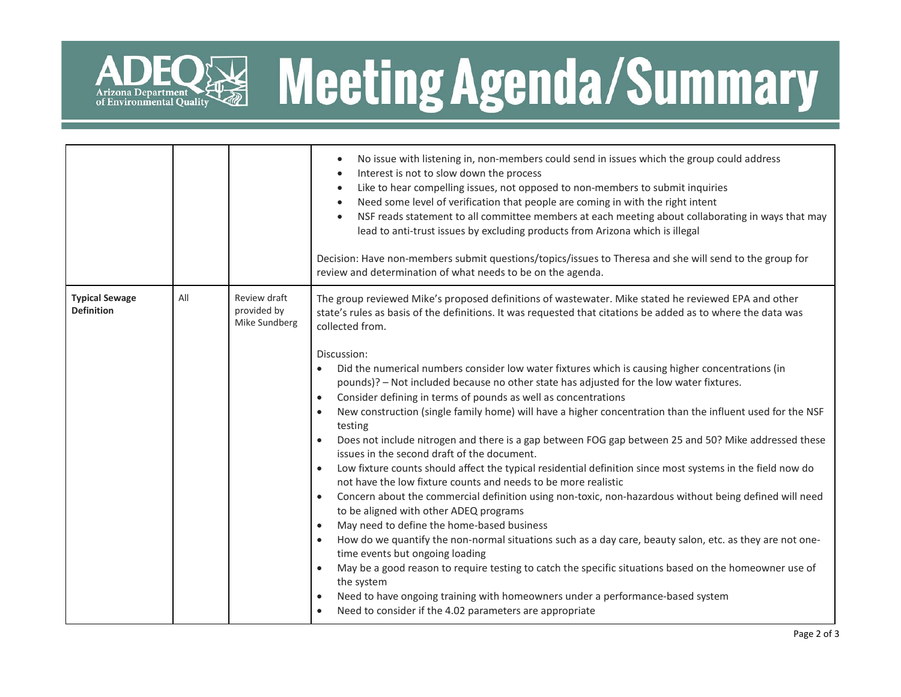

# **Solution Summary Meeting Agenda/Summary**

|                                            |     |                                              | No issue with listening in, non-members could send in issues which the group could address<br>$\bullet$<br>Interest is not to slow down the process<br>$\bullet$<br>Like to hear compelling issues, not opposed to non-members to submit inquiries<br>$\bullet$<br>Need some level of verification that people are coming in with the right intent<br>$\bullet$<br>NSF reads statement to all committee members at each meeting about collaborating in ways that may<br>$\bullet$<br>lead to anti-trust issues by excluding products from Arizona which is illegal<br>Decision: Have non-members submit questions/topics/issues to Theresa and she will send to the group for<br>review and determination of what needs to be on the agenda.                                                                                                                                                                                                                                                                                                                                                                                                                                                                                                                                                                                                                                                                                                                                                                                                                                                                                                                                                                        |  |
|--------------------------------------------|-----|----------------------------------------------|---------------------------------------------------------------------------------------------------------------------------------------------------------------------------------------------------------------------------------------------------------------------------------------------------------------------------------------------------------------------------------------------------------------------------------------------------------------------------------------------------------------------------------------------------------------------------------------------------------------------------------------------------------------------------------------------------------------------------------------------------------------------------------------------------------------------------------------------------------------------------------------------------------------------------------------------------------------------------------------------------------------------------------------------------------------------------------------------------------------------------------------------------------------------------------------------------------------------------------------------------------------------------------------------------------------------------------------------------------------------------------------------------------------------------------------------------------------------------------------------------------------------------------------------------------------------------------------------------------------------------------------------------------------------------------------------------------------------|--|
| <b>Typical Sewage</b><br><b>Definition</b> | All | Review draft<br>provided by<br>Mike Sundberg | The group reviewed Mike's proposed definitions of wastewater. Mike stated he reviewed EPA and other<br>state's rules as basis of the definitions. It was requested that citations be added as to where the data was<br>collected from.<br>Discussion:<br>Did the numerical numbers consider low water fixtures which is causing higher concentrations (in<br>pounds)? - Not included because no other state has adjusted for the low water fixtures.<br>Consider defining in terms of pounds as well as concentrations<br>$\bullet$<br>New construction (single family home) will have a higher concentration than the influent used for the NSF<br>$\bullet$<br>testing<br>Does not include nitrogen and there is a gap between FOG gap between 25 and 50? Mike addressed these<br>issues in the second draft of the document.<br>Low fixture counts should affect the typical residential definition since most systems in the field now do<br>$\bullet$<br>not have the low fixture counts and needs to be more realistic<br>Concern about the commercial definition using non-toxic, non-hazardous without being defined will need<br>$\bullet$<br>to be aligned with other ADEQ programs<br>May need to define the home-based business<br>$\bullet$<br>How do we quantify the non-normal situations such as a day care, beauty salon, etc. as they are not one-<br>$\bullet$<br>time events but ongoing loading<br>May be a good reason to require testing to catch the specific situations based on the homeowner use of<br>the system<br>Need to have ongoing training with homeowners under a performance-based system<br>$\bullet$<br>Need to consider if the 4.02 parameters are appropriate<br>$\bullet$ |  |